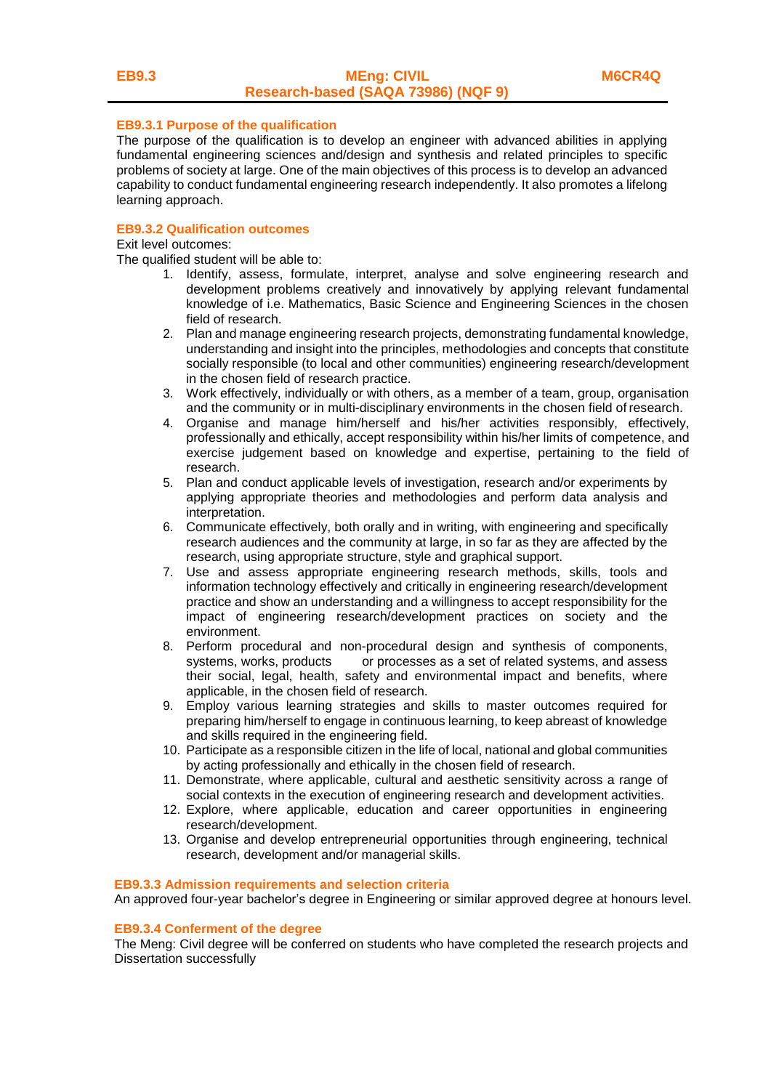## **EB9.3.1 Purpose of the qualification**

The purpose of the qualification is to develop an engineer with advanced abilities in applying fundamental engineering sciences and/design and synthesis and related principles to specific problems of society at large. One of the main objectives of this process is to develop an advanced capability to conduct fundamental engineering research independently. It also promotes a lifelong learning approach.

### **EB9.3.2 Qualification outcomes**

Exit level outcomes:

The qualified student will be able to:

- 1. Identify, assess, formulate, interpret, analyse and solve engineering research and development problems creatively and innovatively by applying relevant fundamental knowledge of i.e. Mathematics, Basic Science and Engineering Sciences in the chosen field of research.
- 2. Plan and manage engineering research projects, demonstrating fundamental knowledge, understanding and insight into the principles, methodologies and concepts that constitute socially responsible (to local and other communities) engineering research/development in the chosen field of research practice.
- 3. Work effectively, individually or with others, as a member of a team, group, organisation and the community or in multi-disciplinary environments in the chosen field of research.
- 4. Organise and manage him/herself and his/her activities responsibly, effectively, professionally and ethically, accept responsibility within his/her limits of competence, and exercise judgement based on knowledge and expertise, pertaining to the field of research.
- 5. Plan and conduct applicable levels of investigation, research and/or experiments by applying appropriate theories and methodologies and perform data analysis and interpretation.
- 6. Communicate effectively, both orally and in writing, with engineering and specifically research audiences and the community at large, in so far as they are affected by the research, using appropriate structure, style and graphical support.
- 7. Use and assess appropriate engineering research methods, skills, tools and information technology effectively and critically in engineering research/development practice and show an understanding and a willingness to accept responsibility for the impact of engineering research/development practices on society and the environment.
- 8. Perform procedural and non-procedural design and synthesis of components, systems, works, products or processes as a set of related systems, and assess their social, legal, health, safety and environmental impact and benefits, where applicable, in the chosen field of research.
- 9. Employ various learning strategies and skills to master outcomes required for preparing him/herself to engage in continuous learning, to keep abreast of knowledge and skills required in the engineering field.
- 10. Participate as a responsible citizen in the life of local, national and global communities by acting professionally and ethically in the chosen field of research.
- 11. Demonstrate, where applicable, cultural and aesthetic sensitivity across a range of social contexts in the execution of engineering research and development activities.
- 12. Explore, where applicable, education and career opportunities in engineering research/development.
- 13. Organise and develop entrepreneurial opportunities through engineering, technical research, development and/or managerial skills.

#### **EB9.3.3 Admission requirements and selection criteria**

An approved four-year bachelor's degree in Engineering or similar approved degree at honours level.

#### **EB9.3.4 Conferment of the degree**

The Meng: Civil degree will be conferred on students who have completed the research projects and Dissertation successfully